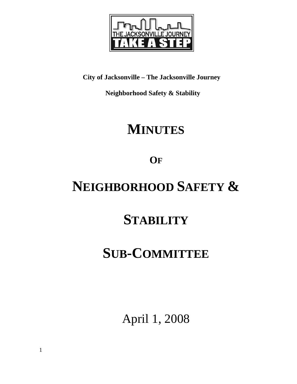

**City of Jacksonville – The Jacksonville Journey** 

 **Neighborhood Safety & Stability** 

# **MINUTES**

**OF**

# **NEIGHBORHOOD SAFETY &**

## **STABILITY**

## **SUB-COMMITTEE**

April 1, 2008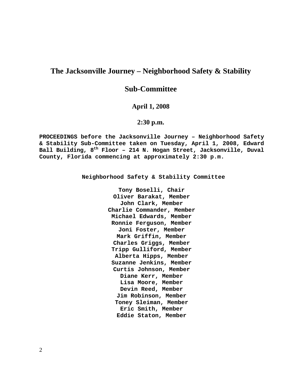## **The Jacksonville Journey – Neighborhood Safety & Stability**

## **Sub-Committee**

#### **April 1, 2008**

### **2:30 p.m.**

**PROCEEDINGS before the Jacksonville Journey – Neighborhood Safety & Stability Sub-Committee taken on Tuesday, April 1, 2008, Edward**  Ball Building, 8<sup>th</sup> Floor - 214 N. Hogan Street, Jacksonville, Duval **County, Florida commencing at approximately 2:30 p.m.** 

**Neighborhood Safety & Stability Committee** 

**Tony Boselli, Chair Oliver Barakat, Member John Clark, Member Charlie Commander, Member Michael Edwards, Member Ronnie Ferguson, Member Joni Foster, Member Mark Griffin, Member Charles Griggs, Member Tripp Gulliford, Member Alberta Hipps, Member Suzanne Jenkins, Member Curtis Johnson, Member Diane Kerr, Member Lisa Moore, Member Devin Reed, Member Jim Robinson, Member Toney Sleiman, Member Eric Smith, Member Eddie Staton, Member**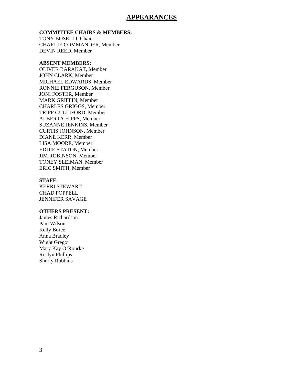### **APPEARANCES**

#### **COMMITTEE CHAIRS & MEMBERS:**

TONY BOSELLI, Chair CHARLIE COMMANDER, Member DEVIN REED, Member

#### **ABSENT MEMBERS:**

OLIVER BARAKAT, Member JOHN CLARK, Member MICHAEL EDWARDS, Member RONNIE FERGUSON, Member JONI FOSTER, Member MARK GRIFFIN, Member CHARLES GRIGGS, Member TRIPP GULLIFORD, Member ALBERTA HIPPS, Member SUZANNE JENKINS, Member CURTIS JOHNSON, Member DIANE KERR, Member LISA MOORE, Member EDDIE STATON, Member JIM ROBINSON, Member TONEY SLEIMAN, Member ERIC SMITH, Member

#### **STAFF:**

KERRI STEWART CHAD POPPELL JENNIFER SAVAGE

#### **OTHERS PRESENT:**

James Richardson Pam Wilson Kelly Boree Anna Bradley Wight Gregor Mary Kay O'Rourke Roslyn Phillips Shorty Robbins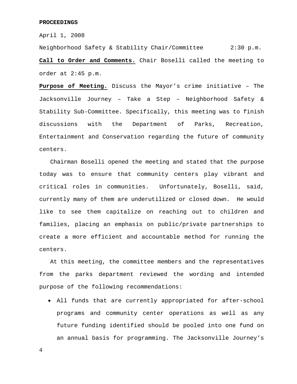April 1, 2008

Neighborhood Safety & Stability Chair/Committee 2:30 p.m. **Call to Order and Comments.** Chair Boselli called the meeting to order at 2:45 p.m.

**Purpose of Meeting.** Discuss the Mayor's crime initiative – The Jacksonville Journey – Take a Step – Neighborhood Safety & Stability Sub-Committee. Specifically, this meeting was to finish discussions with the Department of Parks, Recreation, Entertainment and Conservation regarding the future of community centers.

 Chairman Boselli opened the meeting and stated that the purpose today was to ensure that community centers play vibrant and critical roles in communities. Unfortunately, Boselli, said, currently many of them are underutilized or closed down. He would like to see them capitalize on reaching out to children and families, placing an emphasis on public/private partnerships to create a more efficient and accountable method for running the centers.

 At this meeting, the committee members and the representatives from the parks department reviewed the wording and intended purpose of the following recommendations:

• All funds that are currently appropriated for after-school programs and community center operations as well as any future funding identified should be pooled into one fund on an annual basis for programming. The Jacksonville Journey's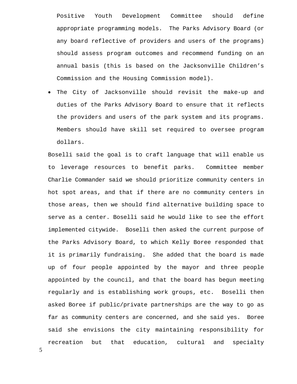Positive Youth Development Committee should define appropriate programming models. The Parks Advisory Board (or any board reflective of providers and users of the programs) should assess program outcomes and recommend funding on an annual basis (this is based on the Jacksonville Children's Commission and the Housing Commission model).

• The City of Jacksonville should revisit the make-up and duties of the Parks Advisory Board to ensure that it reflects the providers and users of the park system and its programs. Members should have skill set required to oversee program dollars.

Boselli said the goal is to craft language that will enable us to leverage resources to benefit parks. Committee member Charlie Commander said we should prioritize community centers in hot spot areas, and that if there are no community centers in those areas, then we should find alternative building space to serve as a center. Boselli said he would like to see the effort implemented citywide. Boselli then asked the current purpose of the Parks Advisory Board, to which Kelly Boree responded that it is primarily fundraising. She added that the board is made up of four people appointed by the mayor and three people appointed by the council, and that the board has begun meeting regularly and is establishing work groups, etc. Boselli then asked Boree if public/private partnerships are the way to go as far as community centers are concerned, and she said yes. Boree said she envisions the city maintaining responsibility for recreation but that education, cultural and specialty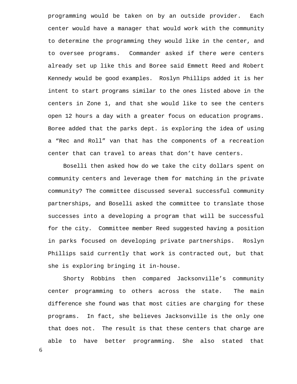programming would be taken on by an outside provider. Each center would have a manager that would work with the community to determine the programming they would like in the center, and to oversee programs. Commander asked if there were centers already set up like this and Boree said Emmett Reed and Robert Kennedy would be good examples. Roslyn Phillips added it is her intent to start programs similar to the ones listed above in the centers in Zone 1, and that she would like to see the centers open 12 hours a day with a greater focus on education programs. Boree added that the parks dept. is exploring the idea of using a "Rec and Roll" van that has the components of a recreation center that can travel to areas that don't have centers.

 Boselli then asked how do we take the city dollars spent on community centers and leverage them for matching in the private community? The committee discussed several successful community partnerships, and Boselli asked the committee to translate those successes into a developing a program that will be successful for the city. Committee member Reed suggested having a position in parks focused on developing private partnerships. Roslyn Phillips said currently that work is contracted out, but that she is exploring bringing it in-house.

 Shorty Robbins then compared Jacksonville's community center programming to others across the state. The main difference she found was that most cities are charging for these programs. In fact, she believes Jacksonville is the only one that does not. The result is that these centers that charge are able to have better programming. She also stated that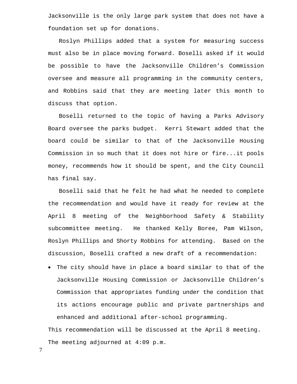Jacksonville is the only large park system that does not have a foundation set up for donations.

 Roslyn Phillips added that a system for measuring success must also be in place moving forward. Boselli asked if it would be possible to have the Jacksonville Children's Commission oversee and measure all programming in the community centers, and Robbins said that they are meeting later this month to discuss that option.

 Boselli returned to the topic of having a Parks Advisory Board oversee the parks budget. Kerri Stewart added that the board could be similar to that of the Jacksonville Housing Commission in so much that it does not hire or fire...it pools money, recommends how it should be spent, and the City Council has final say.

 Boselli said that he felt he had what he needed to complete the recommendation and would have it ready for review at the April 8 meeting of the Neighborhood Safety & Stability subcommittee meeting. He thanked Kelly Boree, Pam Wilson, Roslyn Phillips and Shorty Robbins for attending. Based on the discussion, Boselli crafted a new draft of a recommendation:

• The city should have in place a board similar to that of the Jacksonville Housing Commission or Jacksonville Children's Commission that appropriates funding under the condition that its actions encourage public and private partnerships and enhanced and additional after-school programming.

This recommendation will be discussed at the April 8 meeting. The meeting adjourned at 4:09 p.m.